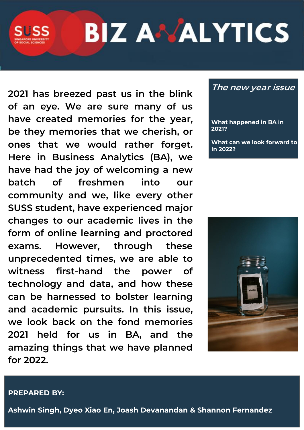# **BIZ ANALYTICS**

**2021 has breezed past us in the blink of an eye. We are sure many of us have created memories for the year, be they memories that we cherish, or ones that we would rather forget. Here in Business Analytics (BA), we have had the joy of welcoming a new batch of freshmen into our community and we, like every other SUSS student, have experienced major changes to our academic lives in the form of online learning and proctored exams. However, through these unprecedented times, we are able to witness first-hand the power of technology and data, and how these can be harnessed to bolster learning and academic pursuits. In this issue, we look back on the fond memories 2021 held for us in BA, and the amazing things that we have planned for 2022.**

## **The new year issue**

**What happened in BA in 2021?**

**What can we look forward to In 2022?**



#### **PREPARED BY:**

**Ashwin Singh, Dyeo Xiao En, Joash Devanandan & Shannon Fernandez**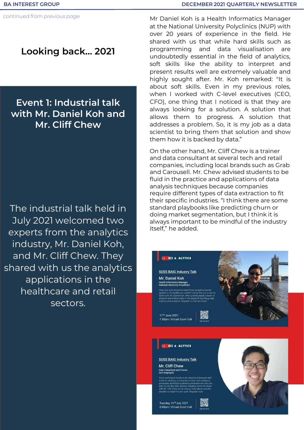## **Looking back… 2021**

## **Event 1: Industrial talk with Mr. Daniel Koh and Mr. Cliff Chew**

The industrial talk held in July 2021 welcomed two experts from the analytics industry, Mr. Daniel Koh, and Mr. Cliff Chew. They shared with us the analytics applications in the healthcare and retail sectors.

Mr Daniel Koh is a Health Informatics Manager at the National University Polyclinics (NUP) with over 20 years of experience in the field. He shared with us that while hard skills such as programming and data visualisation are undoubtedly essential in the field of analytics, soft skills like the ability to interpret and present results well are extremely valuable and highly sought after. Mr. Koh remarked: "It is about soft skills. Even in my previous roles, when I worked with C-level executives (CEO, CFO), one thing that I noticed is that they are always looking for a solution. A solution that allows them to progress. A solution that addresses a problem. So, it is my job as a data scientist to bring them that solution and show them how it is backed by data."

On the other hand, Mr. Cliff Chew is a trainer and data consultant at several tech and retail companies, including local brands such as Grab and Carousell. Mr. Chew advised students to be fluid in the practice and applications of data analysis techniques because companies require different types of data extraction to fit their specific industries. "I think there are some standard playbooks like predicting churn or doing market segmentation, but I think it is always important to be mindful of the industry itself," he added.

#### **BIZ A ALYTICS**

**SUSS BAIG Industry Talk** Mr. Daniel Koh nformatics Manage<br>LUniversity Polyclin

17<sup>th</sup> June 2021 7.30pm | Virtual Zoom Call



#### **BIZ ANALYTICS**

**SUSS BAIG Industry Talk** Mr. Cliff Chew

- . . . . . . . . . . . .<br>onsultant and Trainer<br>nployed

Tuesday, 13<sup>th</sup> July 2021 8.00pm | Virtual Zoom Cal



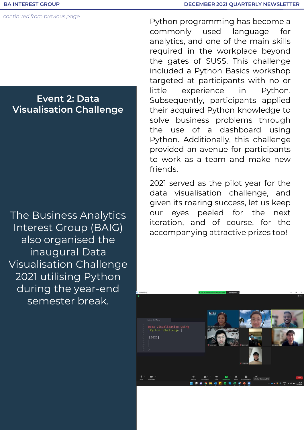*continued from previous page*

## **Event 2: Data Visualisation Challenge**

The Business Analytics Interest Group (BAIG) also organised the inaugural Data Visualisation Challenge 2021 utilising Python during the year-end semester break.

Python programming has become a commonly used language for analytics, and one of the main skills required in the workplace beyond the gates of SUSS. This challenge included a Python Basics workshop targeted at participants with no or little experience in Python. Subsequently, participants applied their acquired Python knowledge to solve business problems through the use of a dashboard using Python. Additionally, this challenge provided an avenue for participants to work as a team and make new friends.

2021 served as the pilot year for the data visualisation challenge, and given its roaring success, let us keep our eyes peeled for the next iteration, and of course, for the accompanying attractive prizes too!

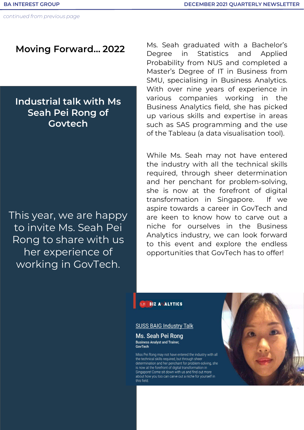## **Moving Forward… 2022**

## **Industrial talk with Ms Seah Pei Rong of Govtech**

This year, we are happy to invite Ms. Seah Pei Rong to share with us her experience of working in GovTech.

Ms. Seah graduated with a Bachelor's Degree in Statistics and Applied Probability from NUS and completed a Master's Degree of IT in Business from SMU, specialising in Business Analytics. With over nine years of experience in various companies working in the Business Analytics field, she has picked up various skills and expertise in areas such as SAS programming and the use of the Tableau (a data visualisation tool).

While Ms. Seah may not have entered the industry with all the technical skills required, through sheer determination and her penchant for problem-solving, she is now at the forefront of digital transformation in Singapore. If we aspire towards a career in GovTech and are keen to know how to carve out a niche for ourselves in the Business Analytics industry, we can look forward to this event and explore the endless opportunities that GovTech has to offer!

#### **BIZ ANALYTICS**

#### **SUSS BAIG Industry Talk**

Ms. Seah Pei Rong **Business Analyst and Trainer,** GovTech

Miss Pei Rong may not have entered the industry with all the technical skills required, but through sheer determination and her penchant for problem-solving, she is now at the forefront of digital transformation in Singapore! Come sit down with us and find out more about how you too can carve out a niche for yourself in this field.

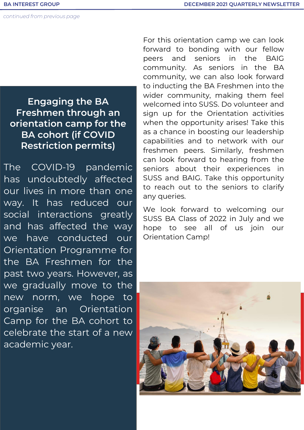*continued from previous page*

## **Engaging the BA Freshmen through an orientation camp for the BA cohort (if COVID Restriction permits)**

The COVID-19 pandemic has undoubtedly affected our lives in more than one way. It has reduced our social interactions greatly and has affected the way we have conducted our Orientation Programme for the BA Freshmen for the past two years. However, as we gradually move to the new norm, we hope to organise an Orientation Camp for the BA cohort to celebrate the start of a new academic year.

For this orientation camp we can look forward to bonding with our fellow peers and seniors in the BAIG community. As seniors in the BA community, we can also look forward to inducting the BA Freshmen into the wider community, making them feel welcomed into SUSS. Do volunteer and sign up for the Orientation activities when the opportunity arises! Take this as a chance in boosting our leadership capabilities and to network with our freshmen peers. Similarly, freshmen can look forward to hearing from the seniors about their experiences in SUSS and BAIG. Take this opportunity to reach out to the seniors to clarify any queries.

We look forward to welcoming our SUSS BA Class of 2022 in July and we hope to see all of us join our Orientation Camp!